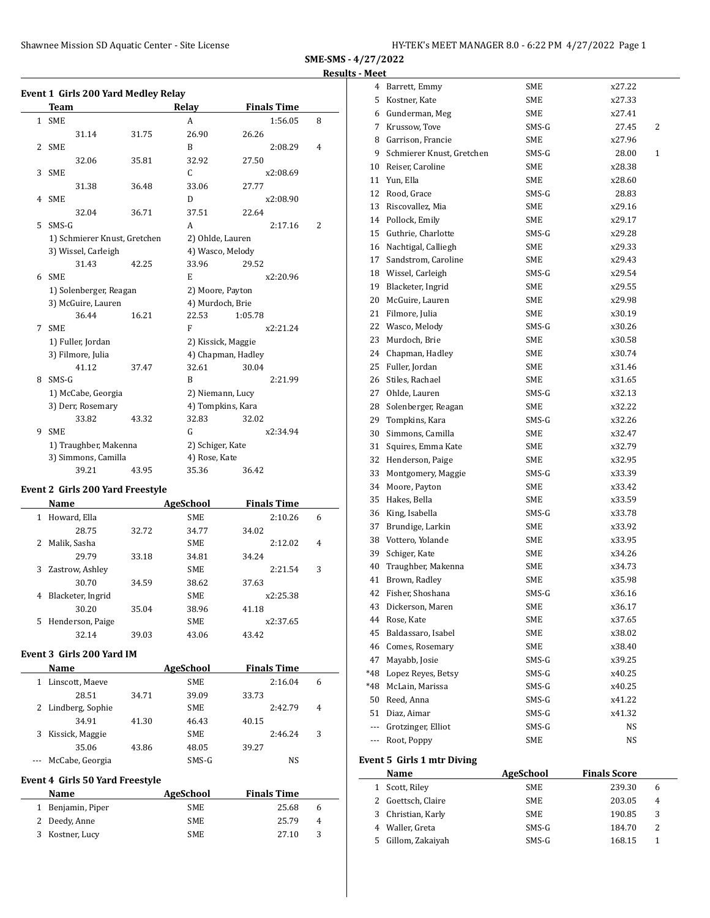# **SME-SMS - 4/27/2022 Results - Meet**

|   | Event 1 Girls 200 Yard Medley Relay |       |                    |                    |   |
|---|-------------------------------------|-------|--------------------|--------------------|---|
|   | <b>Team</b>                         |       | Relay              | <b>Finals Time</b> |   |
|   | 1 SME                               |       | A                  | 1:56.05            | 8 |
|   | 31.14                               | 31.75 | 26.90              | 26.26              |   |
|   | 2 SME                               |       | B                  | 2:08.29            | 4 |
|   | 32.06                               | 35.81 | 32.92              | 27.50              |   |
| 3 | SME                                 |       | C                  | x2:08.69           |   |
|   | 31.38                               | 36.48 | 33.06              | 27.77              |   |
|   | 4 SME                               |       | D                  | x2:08.90           |   |
|   | 32.04                               | 36.71 | 37.51              | 22.64              |   |
| 5 | SMS-G                               |       | A                  | 2:17.16            | 2 |
|   | 1) Schmierer Knust, Gretchen        |       |                    | 2) Ohlde, Lauren   |   |
|   | 3) Wissel, Carleigh                 |       |                    | 4) Wasco, Melody   |   |
|   | 31.43                               | 42.25 | 33.96              | 29.52              |   |
| 6 | <b>SME</b>                          |       | E                  | x2:20.96           |   |
|   | 1) Solenberger, Reagan              |       | 2) Moore, Payton   |                    |   |
|   | 3) McGuire, Lauren                  |       | 4) Murdoch, Brie   |                    |   |
|   | 36.44                               | 16.21 | 22.53              | 1:05.78            |   |
| 7 | <b>SME</b>                          |       | F                  | x2:21.24           |   |
|   | 1) Fuller, Jordan                   |       | 2) Kissick, Maggie |                    |   |
|   | 3) Filmore, Julia                   |       | 4) Chapman, Hadley |                    |   |
|   | 41.12                               | 37.47 | 32.61              | 30.04              |   |
| 8 | SMS-G                               |       | B                  | 2:21.99            |   |
|   | 1) McCabe, Georgia                  |       | 2) Niemann, Lucy   |                    |   |
|   | 3) Derr, Rosemary                   |       | 4) Tompkins, Kara  |                    |   |
|   | 33.82                               | 43.32 | 32.83              | 32.02              |   |
| 9 | <b>SME</b>                          |       | G                  | x2:34.94           |   |
|   | 1) Traughber, Makenna               |       | 2) Schiger, Kate   |                    |   |
|   | 3) Simmons, Camilla                 |       | 4) Rose, Kate      |                    |   |
|   | 39.21                               | 43.95 | 35.36              | 36.42              |   |
|   |                                     |       |                    |                    |   |

# **Event 2 Girls 200 Yard Freestyle**

|    | Name              |       | AgeSchool  | <b>Finals Time</b> |   |
|----|-------------------|-------|------------|--------------------|---|
| 1  | Howard, Ella      |       | <b>SME</b> | 2:10.26            | 6 |
|    | 28.75             | 32.72 | 34.77      | 34.02              |   |
| 2  | Malik, Sasha      |       | <b>SME</b> | 2:12.02            | 4 |
|    | 29.79             | 33.18 | 34.81      | 34.24              |   |
| 3. | Zastrow, Ashley   |       | <b>SME</b> | 2:21.54            | 3 |
|    | 30.70             | 34.59 | 38.62      | 37.63              |   |
| 4  | Blacketer, Ingrid |       | <b>SME</b> | x2:25.38           |   |
|    | 30.20             | 35.04 | 38.96      | 41.18              |   |
| 5. | Henderson, Paige  |       | <b>SME</b> | x2:37.65           |   |
|    | 32.14             | 39.03 | 43.06      | 43.42              |   |
|    |                   |       |            |                    |   |

## **Event 3 Girls 200 Yard IM**

|   | Name               |       | <b>AgeSchool</b> | <b>Finals Time</b> |   |
|---|--------------------|-------|------------------|--------------------|---|
|   | Linscott, Maeve    |       | <b>SME</b>       | 2:16.04            | 6 |
|   | 28.51              | 34.71 | 39.09            | 33.73              |   |
|   | 2 Lindberg, Sophie |       | <b>SME</b>       | 2:42.79            | 4 |
|   | 34.91              | 41.30 | 46.43            | 40.15              |   |
| 3 | Kissick, Maggie    |       | <b>SME</b>       | 2:46.24            | 3 |
|   | 35.06              | 43.86 | 48.05            | 39.27              |   |
|   | McCabe, Georgia    |       | SMS-G            | NS                 |   |

### **Event 4 Girls 50 Yard Freestyle**

| Name              | AgeSchool  | <b>Finals Time</b> |              |
|-------------------|------------|--------------------|--------------|
| 1 Benjamin, Piper | <b>SME</b> | 25.68              | <sub>6</sub> |
| 2 Deedy, Anne     | <b>SME</b> | 25.79              | 4            |
| 3 Kostner, Lucy   | <b>SME</b> | 27.10              | 3            |

| 4   | Barrett, Emmy             | SME        | x27.22     |
|-----|---------------------------|------------|------------|
|     | 5 Kostner, Kate           | SME        | x27.33     |
|     | 6 Gunderman, Meg          | SME        | x27.41     |
| 7   | Krussow, Tove             | SMS-G      | 2<br>27.45 |
| 8   | Garrison, Francie         | SME        | x27.96     |
| 9   | Schmierer Knust, Gretchen | SMS-G      | 1<br>28.00 |
| 10  | Reiser, Caroline          | SME        | x28.38     |
| 11  | Yun, Ella                 | SME        | x28.60     |
| 12  | Rood, Grace               | SMS-G      | 28.83      |
| 13  | Riscovallez, Mia          | <b>SME</b> | x29.16     |
|     | 14 Pollock, Emily         | SME        | x29.17     |
| 15  | Guthrie, Charlotte        | SMS-G      | x29.28     |
|     | 16 Nachtigal, Calliegh    | SME        | x29.33     |
| 17  | Sandstrom, Caroline       | SME        | x29.43     |
|     | 18 Wissel, Carleigh       | SMS-G      | x29.54     |
| 19  | Blacketer, Ingrid         | SME        | x29.55     |
| 20  | McGuire, Lauren           | SME        | x29.98     |
| 21  | Filmore, Julia            | SME        | x30.19     |
| 22  | Wasco, Melody             | SMS-G      | x30.26     |
| 23  | Murdoch, Brie             | SME        | x30.58     |
| 24  | Chapman, Hadley           | <b>SME</b> | x30.74     |
| 25  | Fuller, Jordan            | SME        | x31.46     |
| 26  | Stiles, Rachael           | SME        | x31.65     |
| 27  | Ohlde, Lauren             | SMS-G      | x32.13     |
| 28  | Solenberger, Reagan       | SME        | x32.22     |
| 29  | Tompkins, Kara            | SMS-G      | x32.26     |
| 30  | Simmons, Camilla          | SME        | x32.47     |
| 31  | Squires, Emma Kate        | SME        | x32.79     |
| 32  | Henderson, Paige          | SME        | x32.95     |
| 33  | Montgomery, Maggie        | SMS-G      | x33.39     |
| 34  | Moore, Payton             | SME        | x33.42     |
| 35  | Hakes, Bella              | SME        | x33.59     |
| 36  | King, Isabella            | SMS-G      | x33.78     |
| 37  | Brundige, Larkin          | SME        | x33.92     |
|     | 38 Vottero, Yolande       | SME        | x33.95     |
|     | 39 Schiger, Kate          | SME        | x34.26     |
| 40  | Traughber, Makenna        | <b>SME</b> | x34.73     |
| 41  | Brown, Radley             | SME        | x35.98     |
| 42  | Fisher, Shoshana          | SMS-G      | x36.16     |
| 43  | Dickerson, Maren          | SME        | x36.17     |
| 44  | Rose, Kate                | SME        | x37.65     |
| 45  | Baldassaro, Isabel        | SME        | x38.02     |
| 46  | Comes, Rosemary           | SME        | x38.40     |
| 47  | Mayabb, Josie             | SMS-G      | x39.25     |
| *48 | Lopez Reyes, Betsy        | SMS-G      | x40.25     |
| *48 | McLain. Marissa           | SMS-G      | x40.25     |
| 50  | Reed, Anna                | SMS-G      | x41.22     |
| 51  | Diaz, Aimar               | SMS-G      | x41.32     |
| --- | Grotzinger, Elliot        | SMS-G      | NS         |
| --- | Root, Poppy               | SME        | NS         |

# **Event 5 Girls 1 mtr Diving**

|    | Name               | AgeSchool  | <b>Finals Score</b> |   |
|----|--------------------|------------|---------------------|---|
|    | 1 Scott, Riley     | <b>SME</b> | 239.30              | 6 |
|    | 2 Goettsch, Claire | <b>SME</b> | 203.05              | 4 |
|    | Christian, Karly   | <b>SME</b> | 190.85              | 3 |
| 4  | Waller, Greta      | SMS-G      | 184.70              | 2 |
| 5. | Gillom, Zakaiyah   | SMS-G      | 168.15              |   |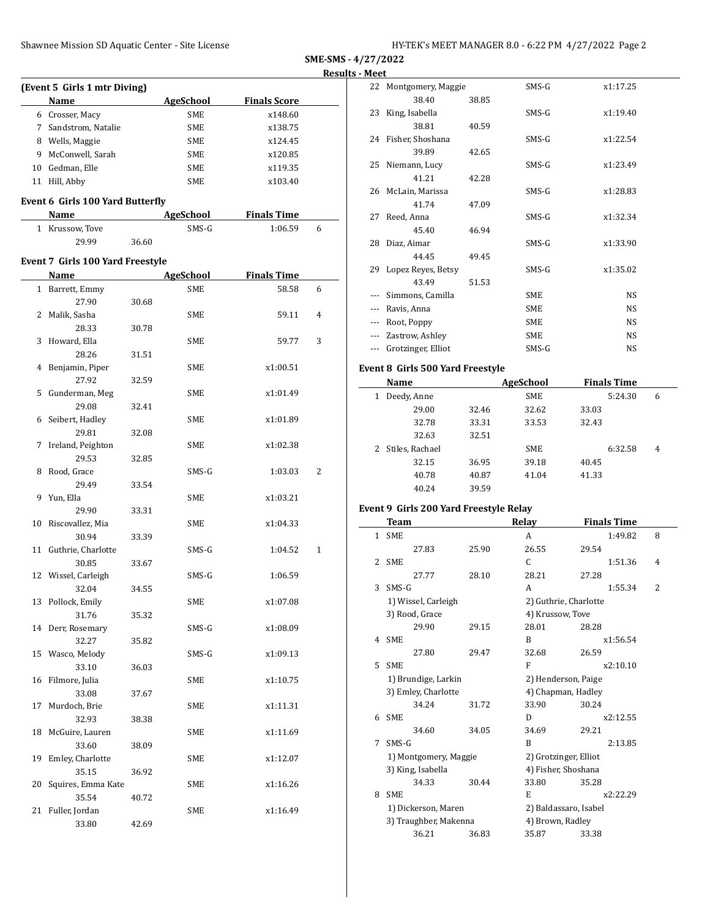**SME-SMS - 4/27/2022 Results - Meet**

|    |                                             |       |                  |                     | Rest           |
|----|---------------------------------------------|-------|------------------|---------------------|----------------|
|    | (Event 5 Girls 1 mtr Diving)<br><b>Name</b> |       | AgeSchool        | <b>Finals Score</b> |                |
|    | 6 Crosser, Macy                             |       | SME              | x148.60             |                |
|    | 7 Sandstrom, Natalie                        |       | SME              | x138.75             |                |
|    | 8 Wells, Maggie                             |       | SME              | x124.45             |                |
|    | 9 McConwell, Sarah                          |       | SME              | x120.85             |                |
|    | 10 Gedman, Elle                             |       | SME              | x119.35             |                |
|    | 11 Hill, Abby                               |       | SME              | x103.40             |                |
|    |                                             |       |                  |                     |                |
|    | Event 6 Girls 100 Yard Butterfly<br>Name    |       | AgeSchool        | <b>Finals Time</b>  |                |
|    | 1 Krussow, Tove                             |       | $SMS-G$          |                     | 6              |
|    |                                             |       |                  | 1:06.59             |                |
|    | 29.99                                       | 36.60 |                  |                     |                |
|    | Event 7 Girls 100 Yard Freestyle            |       |                  |                     |                |
|    | Name                                        |       | <b>AgeSchool</b> | <b>Finals Time</b>  |                |
|    | 1 Barrett, Emmy                             |       | SME              | 58.58               | 6              |
|    | 27.90                                       | 30.68 |                  |                     |                |
|    | 2 Malik, Sasha                              |       | SME              | 59.11               | $\overline{4}$ |
|    | 28.33                                       | 30.78 |                  |                     |                |
|    | 3 Howard, Ella                              |       | SME              | 59.77               | 3              |
|    | 28.26                                       | 31.51 |                  |                     |                |
|    | 4 Benjamin, Piper                           |       | SME              | x1:00.51            |                |
|    | 27.92                                       | 32.59 |                  |                     |                |
| 5  | Gunderman, Meg                              |       | SME              | x1:01.49            |                |
|    | 29.08                                       | 32.41 |                  |                     |                |
|    | 6 Seibert, Hadley                           |       | SME              | x1:01.89            |                |
|    | 29.81                                       | 32.08 |                  |                     |                |
| 7  | Ireland, Peighton                           |       | SME              | x1:02.38            |                |
|    | 29.53                                       | 32.85 |                  |                     |                |
| 8  | Rood, Grace                                 |       | SMS-G            | 1:03.03             | 2              |
|    | 29.49                                       | 33.54 |                  |                     |                |
| 9  | Yun, Ella                                   |       | SME              | x1:03.21            |                |
|    | 29.90                                       | 33.31 |                  |                     |                |
| 10 | Riscovallez, Mia                            |       | SME              | x1:04.33            |                |
|    | 30.94                                       | 33.39 |                  |                     |                |
|    | 11 Guthrie, Charlotte                       |       | SMS-G            | 1:04.52             | 1              |
|    | 30.85                                       | 33.67 |                  |                     |                |
|    | 12 Wissel, Carleigh                         |       | SMS-G            | 1:06.59             |                |
|    |                                             |       |                  |                     |                |
|    | 32.04<br>13 Pollock, Emily                  | 34.55 | SME              | x1:07.08            |                |
|    | 31.76                                       |       |                  |                     |                |
| 14 | Derr, Rosemary                              | 35.32 |                  | x1:08.09            |                |
|    |                                             |       | SMS-G            |                     |                |
|    | 32.27                                       | 35.82 |                  |                     |                |
| 15 | Wasco, Melody                               |       | SMS-G            | x1:09.13            |                |
|    | 33.10                                       | 36.03 |                  |                     |                |
| 16 | Filmore, Julia                              |       | SME              | x1:10.75            |                |
|    | 33.08                                       | 37.67 |                  |                     |                |
| 17 | Murdoch, Brie                               |       | SME              | x1:11.31            |                |
|    | 32.93                                       | 38.38 |                  |                     |                |
| 18 | McGuire, Lauren                             |       | SME              | x1:11.69            |                |
|    | 33.60                                       | 38.09 |                  |                     |                |
| 19 | Emley, Charlotte                            |       | SME              | x1:12.07            |                |
|    | 35.15                                       | 36.92 |                  |                     |                |
| 20 | Squires, Emma Kate                          |       | SME              | x1:16.26            |                |
|    | 35.54                                       | 40.72 |                  |                     |                |
| 21 | Fuller, Jordan                              |       | SME              | x1:16.49            |                |
|    | 33.80                                       | 42.69 |                  |                     |                |

|         | Name                              |       | <b>AgeSchool</b> | <b>Finals Time</b> |  |
|---------|-----------------------------------|-------|------------------|--------------------|--|
|         | Event 8  Girls 500 Yard Freestyle |       |                  |                    |  |
| $---$   | Grotzinger, Elliot                |       | SMS-G            | <b>NS</b>          |  |
| $- - -$ | Zastrow, Ashley                   |       | <b>SME</b>       | NS.                |  |
| ---     | Root, Poppy                       |       | <b>SME</b>       | NS                 |  |
| ---     | Ravis, Anna                       |       | <b>SME</b>       | <b>NS</b>          |  |
|         | Simmons, Camilla                  |       | <b>SME</b>       | <b>NS</b>          |  |
|         | 43.49                             | 51.53 |                  |                    |  |
|         | 29 Lopez Reyes, Betsy             |       | SMS-G            | x1:35.02           |  |
|         | 44.45                             | 49.45 |                  |                    |  |
|         | 28 Diaz, Aimar                    |       | SMS-G            | x1:33.90           |  |
|         | 45.40                             | 46.94 |                  |                    |  |
|         | 27 Reed, Anna                     |       | SMS-G            | x1:32.34           |  |
|         | 41.74                             | 47.09 |                  |                    |  |
|         | 26 McLain, Marissa                |       | SMS-G            | x1:28.83           |  |
|         | 41.21                             | 42.28 |                  |                    |  |
|         | 25 Niemann, Lucy                  |       | SMS-G            | x1:23.49           |  |
|         | 39.89                             | 42.65 |                  |                    |  |
|         | 24 Fisher, Shoshana               | 40.59 | SMS-G            | x1:22.54           |  |
|         | 23 King, Isabella<br>38.81        |       | SMS-G            | x1:19.40           |  |
|         | 38.40                             | 38.85 |                  |                    |  |
| 22      | Montgomery, Maggie                |       | SMS-G            | x1:17.25           |  |
| MCC     |                                   |       |                  |                    |  |

| .                 |       |            |         |   |
|-------------------|-------|------------|---------|---|
| Deedy, Anne       |       | SME        | 5:24.30 | 6 |
| 29.00             | 32.46 | 32.62      | 33.03   |   |
| 32.78             | 33.31 | 33.53      | 32.43   |   |
| 32.63             | 32.51 |            |         |   |
| 2 Stiles, Rachael |       | <b>SME</b> | 6:32.58 | 4 |
| 32.15             | 36.95 | 39.18      | 40.45   |   |
| 40.78             | 40.87 | 41.04      | 41.33   |   |
| 40.24             | 39.59 |            |         |   |

## **Event 9 Girls 200 Yard Freestyle Relay**

|              | Team                  |       | Relay                 | <b>Finals Time</b> |  |
|--------------|-----------------------|-------|-----------------------|--------------------|--|
| $\mathbf{1}$ | <b>SME</b>            |       | A                     | 1:49.82<br>8       |  |
|              | 27.83                 | 25.90 | 26.55                 | 29.54              |  |
| 2            | <b>SME</b>            |       | C                     | 1:51.36<br>4       |  |
|              | 27.77                 | 28.10 | 28.21                 | 27.28              |  |
| 3            | SMS-G                 |       | A                     | 2<br>1:55.34       |  |
|              | 1) Wissel, Carleigh   |       | 2) Guthrie, Charlotte |                    |  |
|              | 3) Rood, Grace        |       | 4) Krussow, Tove      |                    |  |
|              | 29.90                 | 29.15 | 28.01                 | 28.28              |  |
| 4            | <b>SME</b>            |       | B                     | x1:56.54           |  |
|              | 27.80                 | 29.47 | 32.68                 | 26.59              |  |
| 5            | <b>SME</b>            |       | F                     | x2:10.10           |  |
|              | 1) Brundige, Larkin   |       | 2) Henderson, Paige   |                    |  |
|              | 3) Emley, Charlotte   |       | 4) Chapman, Hadley    |                    |  |
|              | 34.24                 | 31.72 | 33.90                 | 30.24              |  |
| 6            | <b>SME</b>            |       | D                     | x2:12.55           |  |
|              | 34.60                 | 34.05 | 34.69                 | 29.21              |  |
| 7            | $SMS-G$               |       | B                     | 2:13.85            |  |
|              | 1) Montgomery, Maggie |       | 2) Grotzinger, Elliot |                    |  |
|              | 3) King, Isabella     |       | 4) Fisher, Shoshana   |                    |  |
|              | 34.33                 | 30.44 | 33.80                 | 35.28              |  |
| 8            | <b>SME</b>            |       | E                     | x2:22.29           |  |
|              | 1) Dickerson, Maren   |       | 2) Baldassaro, Isabel |                    |  |
|              | 3) Traughber, Makenna |       | 4) Brown, Radley      |                    |  |
|              | 36.21                 | 36.83 | 35.87                 | 33.38              |  |